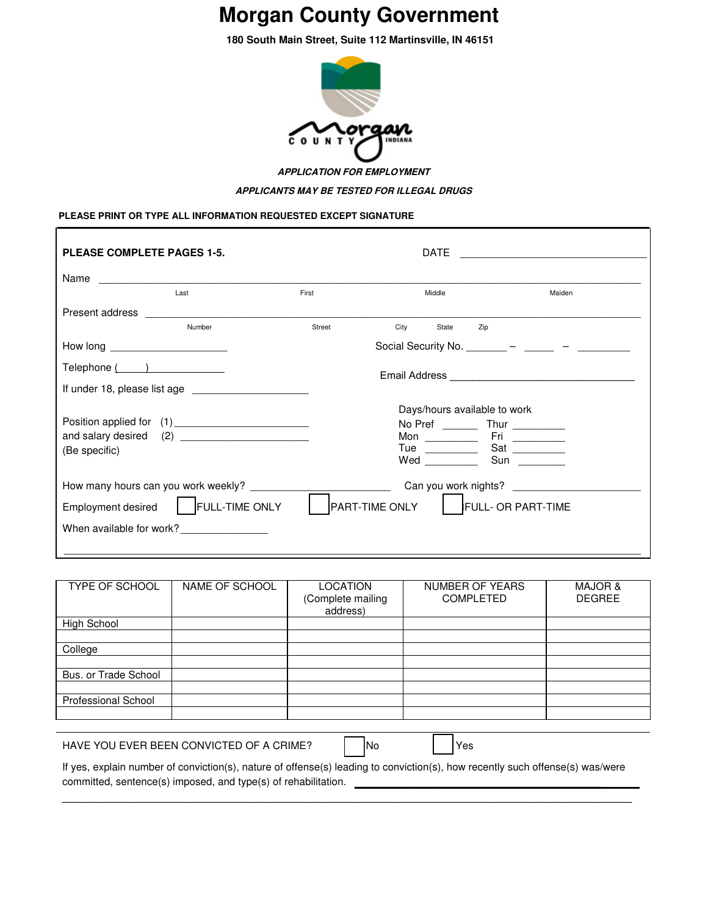# **Morgan County Government**

**180 South Main Street, Suite 112 Martinsville, IN 46151**



**APPLICATION FOR EMPLOYMENT APPLICANTS MAY BE TESTED FOR ILLEGAL DRUGS**

## **PLEASE PRINT OR TYPE ALL INFORMATION REQUESTED EXCEPT SIGNATURE**

| <b>PLEASE COMPLETE PAGES 1-5.</b>   |                       | <b>DATE</b>    |                              |                                                 |        |
|-------------------------------------|-----------------------|----------------|------------------------------|-------------------------------------------------|--------|
|                                     | Name                  |                |                              |                                                 |        |
|                                     | Last                  | First          | Middle                       |                                                 | Maiden |
| Present address                     |                       |                |                              |                                                 |        |
|                                     | Number                | Street         | City<br>State                | Zip                                             |        |
| How long _______________________    |                       |                |                              | Social Security No. ________ - _____ - ______ - |        |
| Telephone ( )                       |                       |                |                              |                                                 |        |
|                                     |                       |                |                              |                                                 |        |
|                                     |                       |                | Days/hours available to work |                                                 |        |
|                                     |                       |                |                              |                                                 |        |
|                                     |                       |                | Mon $\qquad \qquad$          |                                                 |        |
| (Be specific)                       |                       |                | Tue $\qquad \qquad$<br>Wed   | Sun                                             |        |
|                                     |                       |                |                              |                                                 |        |
| How many hours can you work weekly? |                       |                |                              |                                                 |        |
| Employment desired                  | <b>FULL-TIME ONLY</b> | PART-TIME ONLY |                              | FULL- OR PART-TIME                              |        |
| When available for work?            |                       |                |                              |                                                 |        |
|                                     |                       |                |                              |                                                 |        |

| TYPE OF SCHOOL                                                                                                                                                                                  | NAME OF SCHOOL | LOCATION<br>(Complete mailing<br>address) | NUMBER OF YEARS<br><b>COMPLETED</b> | <b>MAJOR &amp;</b><br><b>DEGREE</b> |  |
|-------------------------------------------------------------------------------------------------------------------------------------------------------------------------------------------------|----------------|-------------------------------------------|-------------------------------------|-------------------------------------|--|
| High School                                                                                                                                                                                     |                |                                           |                                     |                                     |  |
|                                                                                                                                                                                                 |                |                                           |                                     |                                     |  |
| College                                                                                                                                                                                         |                |                                           |                                     |                                     |  |
| Bus, or Trade School                                                                                                                                                                            |                |                                           |                                     |                                     |  |
| <b>Professional School</b>                                                                                                                                                                      |                |                                           |                                     |                                     |  |
|                                                                                                                                                                                                 |                |                                           |                                     |                                     |  |
| HAVE YOU EVER BEEN CONVICTED OF A CRIME?<br>Yes<br>INo                                                                                                                                          |                |                                           |                                     |                                     |  |
| If yes, explain number of conviction(s), nature of offense(s) leading to conviction(s), how recently such offense(s) was/were<br>committed, sentence(s) imposed, and type(s) of rehabilitation. |                |                                           |                                     |                                     |  |

\_\_\_\_\_\_\_\_\_\_\_\_\_\_\_\_\_\_\_\_\_\_\_\_\_\_\_\_\_\_\_\_\_\_\_\_\_\_\_\_\_\_\_\_\_\_\_\_\_\_\_\_\_\_\_\_\_\_\_\_\_\_\_\_\_\_\_\_\_\_\_\_\_\_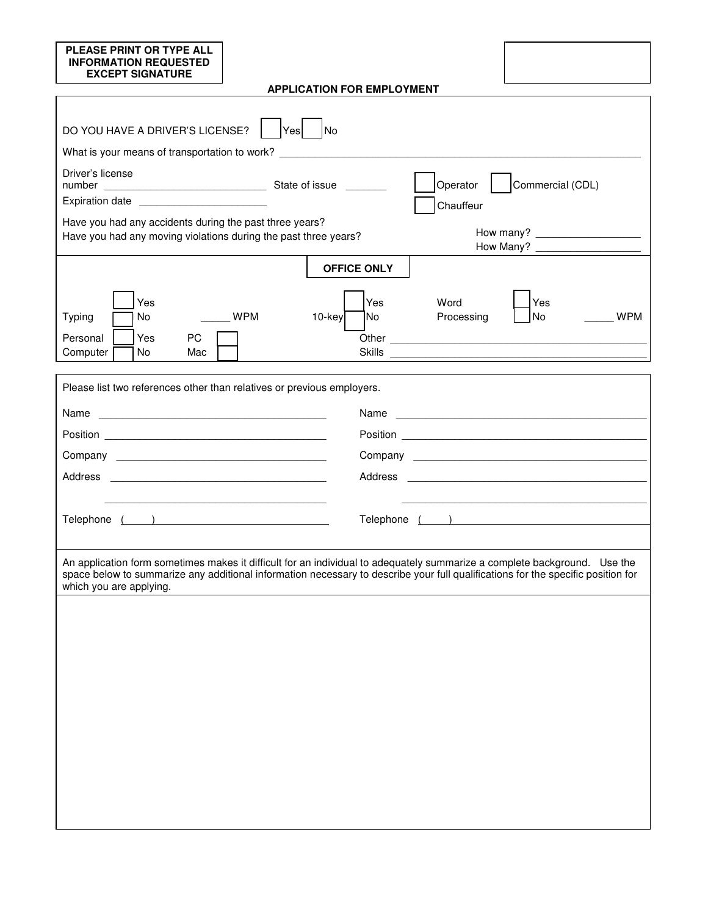| <b>PLEASE PRINT OR TYPE ALL</b><br><b>INFORMATION REQUESTED</b><br><b>EXCEPT SIGNATURE</b>                                 |                                                                                                                                                                                                                                                                                                                                                                                                                                                            |                    |                                |
|----------------------------------------------------------------------------------------------------------------------------|------------------------------------------------------------------------------------------------------------------------------------------------------------------------------------------------------------------------------------------------------------------------------------------------------------------------------------------------------------------------------------------------------------------------------------------------------------|--------------------|--------------------------------|
|                                                                                                                            | <b>APPLICATION FOR EMPLOYMENT</b>                                                                                                                                                                                                                                                                                                                                                                                                                          |                    |                                |
|                                                                                                                            |                                                                                                                                                                                                                                                                                                                                                                                                                                                            |                    |                                |
| DO YOU HAVE A DRIVER'S LICENSE?                                                                                            | Yes   No                                                                                                                                                                                                                                                                                                                                                                                                                                                   |                    |                                |
|                                                                                                                            | What is your means of transportation to work? Letter that the state of the state of the state of the state of the state of the state of the state of the state of the state of the state of the state of the state of the stat                                                                                                                                                                                                                             |                    |                                |
| Driver's license                                                                                                           |                                                                                                                                                                                                                                                                                                                                                                                                                                                            | Operator           | Commercial (CDL)               |
| Expiration date ________________________                                                                                   |                                                                                                                                                                                                                                                                                                                                                                                                                                                            | Chauffeur          |                                |
| Have you had any accidents during the past three years?<br>Have you had any moving violations during the past three years? |                                                                                                                                                                                                                                                                                                                                                                                                                                                            |                    | How many?                      |
|                                                                                                                            | <b>OFFICE ONLY</b>                                                                                                                                                                                                                                                                                                                                                                                                                                         |                    |                                |
| Yes<br>No<br>Typing<br>Yes<br>PC<br>Personal<br>Computer<br>No.<br>Mac                                                     | Yes<br>$\sqrt{\frac{1}{1-\frac{1}{1-\frac{1}{1-\frac{1}{1-\frac{1}{1-\frac{1}{1-\frac{1}{1-\frac{1}{1-\frac{1}{1-\frac{1}{1-\frac{1}{1-\frac{1}{1-\frac{1}{1-\frac{1}{1-\frac{1}{1-\frac{1}{1-\frac{1}{1-\frac{1}{1-\frac{1}{1-\frac{1}{1-\frac{1}{1-\frac{1}{1-\frac{1}{1-\frac{1}{1-\frac{1}{1-\frac{1}{1-\frac{1}{1-\frac{1}{1-\frac{1}{1-\frac{1}{1-\frac{1}{1-\frac{1}{1-\frac{1}{1-\frac{1}{1-\frac{1}{1-\frac{1}{1-\frac$<br><b>No</b><br>$10$ -key | Word<br>Processing | Yes<br><b>WPM</b><br><b>No</b> |
|                                                                                                                            | Please list two references other than relatives or previous employers.                                                                                                                                                                                                                                                                                                                                                                                     |                    |                                |
| Name                                                                                                                       |                                                                                                                                                                                                                                                                                                                                                                                                                                                            | Name               |                                |
|                                                                                                                            |                                                                                                                                                                                                                                                                                                                                                                                                                                                            |                    |                                |
|                                                                                                                            |                                                                                                                                                                                                                                                                                                                                                                                                                                                            |                    |                                |
|                                                                                                                            |                                                                                                                                                                                                                                                                                                                                                                                                                                                            |                    |                                |
|                                                                                                                            |                                                                                                                                                                                                                                                                                                                                                                                                                                                            |                    |                                |
| Telephone ( )                                                                                                              |                                                                                                                                                                                                                                                                                                                                                                                                                                                            |                    |                                |
| which you are applying.                                                                                                    | An application form sometimes makes it difficult for an individual to adequately summarize a complete background. Use the<br>space below to summarize any additional information necessary to describe your full qualifications for the specific position for                                                                                                                                                                                              |                    |                                |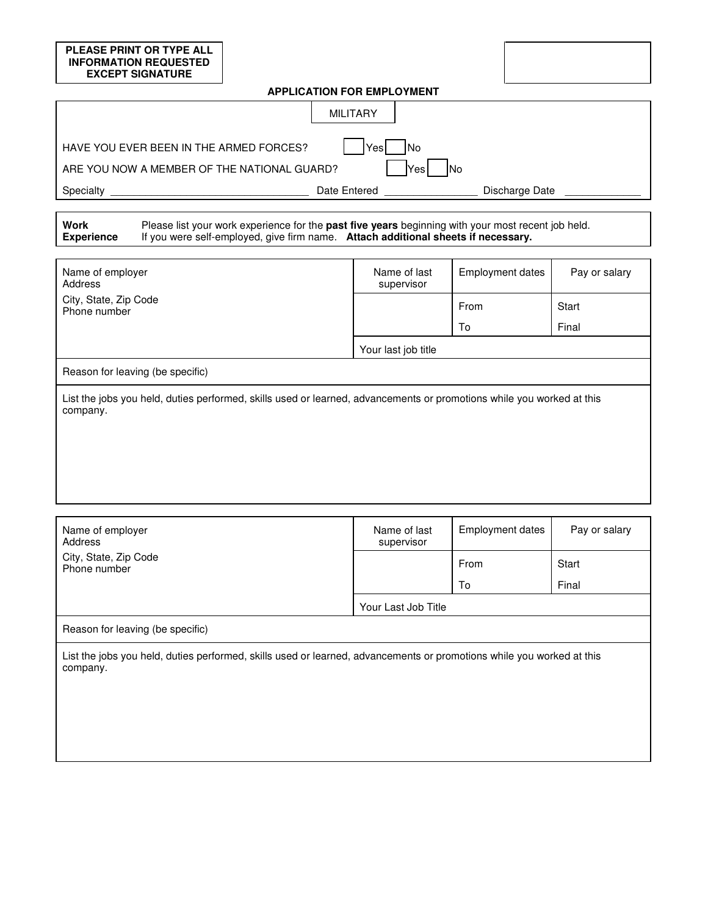# **PLEASE PRINT OR TYPE ALL INFORMATION REQUESTED EXCEPT SIGNATURE APPLICATION FOR EMPLOYMENT**  MILITARY HAVE YOU EVER BEEN IN THE ARMED FORCES?  $|$   $|$ Yes  $|$   $|$ No ARE YOU NOW A MEMBER OF THE NATIONAL GUARD?  $|$   $|$ Yes  $|$   $|$ No Specialty \_\_\_\_\_\_\_\_\_\_\_\_\_\_\_\_\_\_\_\_\_\_\_\_\_\_\_\_\_\_\_\_\_\_ Date Entered \_\_\_\_\_\_\_\_\_\_\_\_\_\_\_\_ Discharge Date \_\_\_\_\_\_\_\_\_\_\_\_\_ **Work Experience** Please list your work experience for the **past five years** beginning with your most recent job held. If you were self-employed, give firm name. **Attach additional sheets if necessary.**

| Name of employer<br>Address                                                                                                       | Name of last<br>supervisor | <b>Employment dates</b> | Pay or salary |  |  |
|-----------------------------------------------------------------------------------------------------------------------------------|----------------------------|-------------------------|---------------|--|--|
| City, State, Zip Code<br>Phone number                                                                                             |                            | From                    | Start         |  |  |
|                                                                                                                                   |                            | To                      | Final         |  |  |
|                                                                                                                                   | Your last job title        |                         |               |  |  |
| Reason for leaving (be specific)                                                                                                  |                            |                         |               |  |  |
| List the jobs you held, duties performed, skills used or learned, advancements or promotions while you worked at this<br>company. |                            |                         |               |  |  |
|                                                                                                                                   |                            |                         |               |  |  |
|                                                                                                                                   |                            |                         |               |  |  |
|                                                                                                                                   |                            |                         |               |  |  |

| Name of employer<br>Address                                                                                                       | Name of last<br>supervisor | <b>Employment dates</b> | Pay or salary |  |  |
|-----------------------------------------------------------------------------------------------------------------------------------|----------------------------|-------------------------|---------------|--|--|
| City, State, Zip Code<br>Phone number                                                                                             |                            | From                    | Start         |  |  |
|                                                                                                                                   |                            | To                      | Final         |  |  |
|                                                                                                                                   | Your Last Job Title        |                         |               |  |  |
| Reason for leaving (be specific)                                                                                                  |                            |                         |               |  |  |
| List the jobs you held, duties performed, skills used or learned, advancements or promotions while you worked at this<br>company. |                            |                         |               |  |  |
|                                                                                                                                   |                            |                         |               |  |  |
|                                                                                                                                   |                            |                         |               |  |  |
|                                                                                                                                   |                            |                         |               |  |  |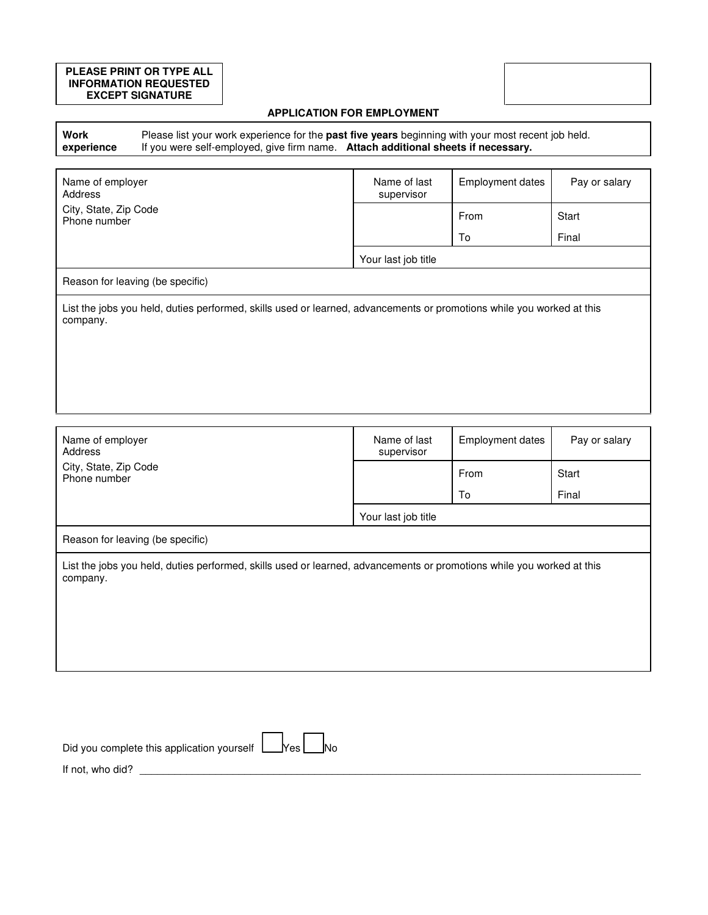#### **PLEASE PRINT OR TYPE ALL INFORMATION REQUESTED EXCEPT SIGNATURE**

### **APPLICATION FOR EMPLOYMENT**

**Work experience** Please list your work experience for the **past five years** beginning with your most recent job held. If you were self-employed, give firm name. **Attach additional sheets if necessary.**

| Name of employer<br>Address                                                                                                       | Name of last<br>supervisor | <b>Employment dates</b> | Pay or salary |  |  |
|-----------------------------------------------------------------------------------------------------------------------------------|----------------------------|-------------------------|---------------|--|--|
| City, State, Zip Code<br>Phone number                                                                                             |                            | From                    | Start         |  |  |
|                                                                                                                                   |                            | To                      | Final         |  |  |
|                                                                                                                                   | Your last job title        |                         |               |  |  |
| Reason for leaving (be specific)                                                                                                  |                            |                         |               |  |  |
| List the jobs you held, duties performed, skills used or learned, advancements or promotions while you worked at this<br>company. |                            |                         |               |  |  |
|                                                                                                                                   |                            |                         |               |  |  |
|                                                                                                                                   |                            |                         |               |  |  |
|                                                                                                                                   |                            |                         |               |  |  |

| Name of employer<br>Address                                                                                                       | Name of last<br>supervisor | <b>Employment dates</b> | Pay or salary |  |
|-----------------------------------------------------------------------------------------------------------------------------------|----------------------------|-------------------------|---------------|--|
| City, State, Zip Code<br>Phone number                                                                                             |                            | From                    | Start         |  |
|                                                                                                                                   |                            | To                      | Final         |  |
|                                                                                                                                   | Your last job title        |                         |               |  |
| Reason for leaving (be specific)                                                                                                  |                            |                         |               |  |
| List the jobs you held, duties performed, skills used or learned, advancements or promotions while you worked at this<br>company. |                            |                         |               |  |

| Did you complete this application yourself $\Box$ Yes $\Box$ No |  |
|-----------------------------------------------------------------|--|
| If not, who did?                                                |  |